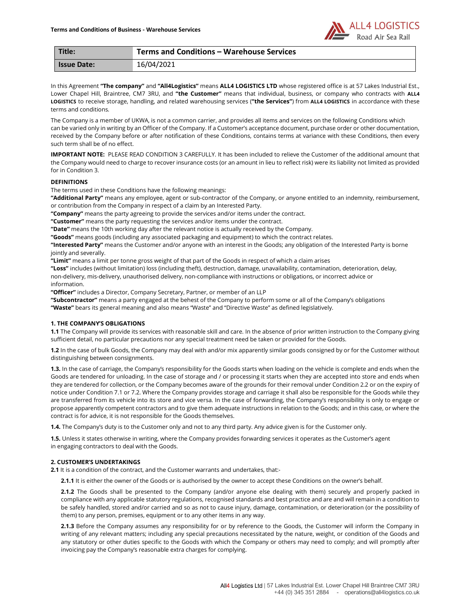

| Title:             | <b>Terms and Conditions - Warehouse Services</b> |
|--------------------|--------------------------------------------------|
| <b>Issue Date:</b> | 16/04/2021                                       |

In this Agreement "The company" and "All4Logistics" means ALL4 LOGISTICS LTD whose registered office is at 57 Lakes Industrial Est., Lower Chapel Hill, Braintree, CM7 3RU, and "the Customer" means that individual, business, or company who contracts with ALL4 LOGISTICS to receive storage, handling, and related warehousing services ("the Services") from ALL4 LOGISTICS in accordance with these terms and conditions.

The Company is a member of UKWA, is not a common carrier, and provides all items and services on the following Conditions which can be varied only in writing by an Officer of the Company. If a Customer's acceptance document, purchase order or other documentation, received by the Company before or after notification of these Conditions, contains terms at variance with these Conditions, then every such term shall be of no effect.

IMPORTANT NOTE: PLEASE READ CONDITION 3 CAREFULLY. It has been included to relieve the Customer of the additional amount that the Company would need to charge to recover insurance costs (or an amount in lieu to reflect risk) were its liability not limited as provided for in Condition 3.

## DEFINITIONS

The terms used in these Conditions have the following meanings:

"Additional Party" means any employee, agent or sub-contractor of the Company, or anyone entitled to an indemnity, reimbursement, or contribution from the Company in respect of a claim by an Interested Party.

"Company" means the party agreeing to provide the services and/or items under the contract.

"Customer" means the party requesting the services and/or items under the contract.

"Date" means the 10th working day after the relevant notice is actually received by the Company.

"Goods" means goods (including any associated packaging and equipment) to which the contract relates.

"Interested Party" means the Customer and/or anyone with an interest in the Goods; any obligation of the Interested Party is borne jointly and severally.

"Limit" means a limit per tonne gross weight of that part of the Goods in respect of which a claim arises

"Loss" includes (without limitation) loss (including theft), destruction, damage, unavailability, contamination, deterioration, delay, non-delivery, mis-delivery, unauthorised delivery, non-compliance with instructions or obligations, or incorrect advice or information.

"Officer" includes a Director, Company Secretary, Partner, or member of an LLP

"Subcontractor" means a party engaged at the behest of the Company to perform some or all of the Company's obligations "Waste" bears its general meaning and also means "Waste" and "Directive Waste" as defined legislatively.

## 1. THE COMPANY'S OBLIGATIONS

1.1 The Company will provide its services with reasonable skill and care. In the absence of prior written instruction to the Company giving sufficient detail, no particular precautions nor any special treatment need be taken or provided for the Goods.

1.2 In the case of bulk Goods, the Company may deal with and/or mix apparently similar goods consigned by or for the Customer without distinguishing between consignments.

1.3. In the case of carriage, the Company's responsibility for the Goods starts when loading on the vehicle is complete and ends when the Goods are tendered for unloading. In the case of storage and / or processing it starts when they are accepted into store and ends when they are tendered for collection, or the Company becomes aware of the grounds for their removal under Condition 2.2 or on the expiry of notice under Condition 7.1 or 7.2. Where the Company provides storage and carriage it shall also be responsible for the Goods while they are transferred from its vehicle into its store and vice versa. In the case of forwarding, the Company's responsibility is only to engage or propose apparently competent contractors and to give them adequate instructions in relation to the Goods; and in this case, or where the contract is for advice, it is not responsible for the Goods themselves.

1.4. The Company's duty is to the Customer only and not to any third party. Any advice given is for the Customer only.

1.5. Unless it states otherwise in writing, where the Company provides forwarding services it operates as the Customer's agent in engaging contractors to deal with the Goods.

# 2. CUSTOMER'S UNDERTAKINGS

2.1 It is a condition of the contract, and the Customer warrants and undertakes, that:-

2.1.1 It is either the owner of the Goods or is authorised by the owner to accept these Conditions on the owner's behalf.

2.1.2 The Goods shall be presented to the Company (and/or anyone else dealing with them) securely and properly packed in compliance with any applicable statutory regulations, recognised standards and best practice and are and will remain in a condition to be safely handled, stored and/or carried and so as not to cause injury, damage, contamination, or deterioration (or the possibility of them) to any person, premises, equipment or to any other items in any way.

2.1.3 Before the Company assumes any responsibility for or by reference to the Goods, the Customer will inform the Company in writing of any relevant matters; including any special precautions necessitated by the nature, weight, or condition of the Goods and any statutory or other duties specific to the Goods with which the Company or others may need to comply; and will promptly after invoicing pay the Company's reasonable extra charges for complying.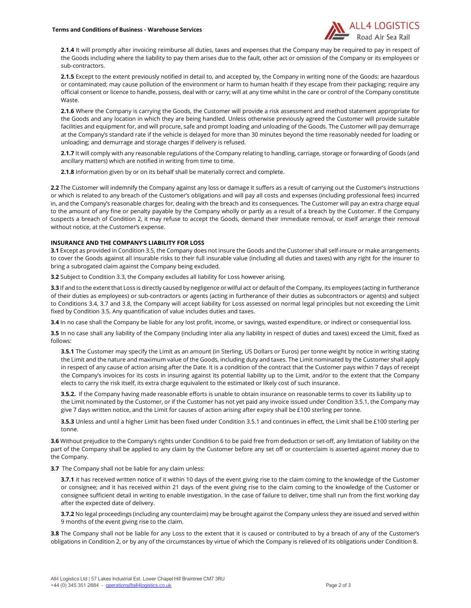

2.1.4 It will promptly after invoicing reimburse all duties, taxes and expenses that the Company may be required to pay in respect of the Goods including where the liability to pay them arises due to the fault, other act or omission of the Company or its employees or sub-contractors.

2.1.5 Except to the extent previously notified in detail to, and accepted by, the Company in writing none of the Goods: are hazardous or contaminated; may cause pollution of the environment or harm to human health if they escape from their packaging; require any official consent or licence to handle, possess, deal with or carry; will at any time whilst in the care or control of the Company constitute Waste.

2.1.6 Where the Company is carrying the Goods, the Customer will provide a risk assessment and method statement appropriate for the Goods and any location in which they are being handled. Unless otherwise previously agreed the Customer will provide suitable facilities and equipment for, and will procure, safe and prompt loading and unloading of the Goods. The Customer will pay demurrage at the Company's standard rate if the vehicle is delayed for more than 30 minutes beyond the time reasonably needed for loading or unloading; and demurrage and storage charges if delivery is refused.

2.1.7 It will comply with any reasonable regulations of the Company relating to handling, carriage, storage or forwarding of Goods (and ancillary matters) which are notified in writing from time to time.

2.1.8 Information given by or on its behalf shall be materially correct and complete.

2.2 The Customer will indemnify the Company against any loss or damage it suffers as a result of carrying out the Customer's instructions or which is related to any breach of the Customer's obligations and will pay all costs and expenses (including professional fees) incurred in, and the Company's reasonable charges for, dealing with the breach and its consequences. The Customer will pay an extra charge equal to the amount of any fine or penalty payable by the Company wholly or partly as a result of a breach by the Customer. If the Company suspects a breach of Condition 2, it may refuse to accept the Goods, demand their immediate removal, or itself arrange their removal without notice, at the Customer's expense.

## INSURANCE AND THE COMPANY'S LIABILITY FOR LOSS

3.1 Except as provided in Condition 3.5, the Company does not insure the Goods and the Customer shall self-insure or make arrangements to cover the Goods against all insurable risks to their full insurable value (including all duties and taxes) with any right for the insurer to bring a subrogated claim against the Company being excluded.

3.2 Subject to Condition 3.3, the Company excludes all liability for Loss however arising.

3.3 If and to the extent that Loss is directly caused by negligence or wilful act or default of the Company, its employees (acting in furtherance of their duties as employees) or sub-contractors or agents (acting in furtherance of their duties as subcontractors or agents) and subject to Conditions 3.4, 3.7 and 3.8, the Company will accept liability for Loss assessed on normal legal principles but not exceeding the Limit fixed by Condition 3.5. Any quantification of value includes duties and taxes.

3.4 In no case shall the Company be liable for any lost profit, income, or savings, wasted expenditure, or indirect or consequential loss.

3.5 In no case shall any liability of the Company (including inter alia any liability in respect of duties and taxes) exceed the Limit, fixed as follows:

**3.5.1** The Customer may specify the Limit as an amount (in Sterling, US Dollars or Euros) per tonne weight by notice in writing stating the Limit and the nature and maximum value of the Goods, including duty and taxes. The Limit nominated by the Customer shall apply in respect of any cause of action arising after the Date. It is a condition of the contract that the Customer pays within 7 days of receipt the Company's invoices for its costs in insuring against its potential liability up to the Limit, and/or to the extent that the Company elects to carry the risk itself, its extra charge equivalent to the estimated or likely cost of such insurance.

**3.5.2.** If the Company having made reasonable efforts is unable to obtain insurance on reasonable terms to cover its liability up to the Limit nominated by the Customer, or if the Customer has not yet paid any invoice issued under Condition 3.5.1, the Company may give 7 days written notice, and the Limit for causes of action arising after expiry shall be £100 sterling per tonne.

3.5.3 Unless and until a higher Limit has been fixed under Condition 3.5.1 and continues in effect, the Limit shall be £100 sterling per tonne.

3.6 Without prejudice to the Company's rights under Condition 6 to be paid free from deduction or set-off, any limitation of liability on the part of the Company shall be applied to any claim by the Customer before any set off or counterclaim is asserted against money due to the Company.

**3.7** The Company shall not be liable for any claim unless:

3.7.1 it has received written notice of it within 10 days of the event giving rise to the claim coming to the knowledge of the Customer or consignee; and it has received within 21 days of the event giving rise to the claim coming to the knowledge of the Customer or consignee sufficient detail in writing to enable investigation. In the case of failure to deliver, time shall run from the first working day after the expected date of delivery.

3.7.2 No legal proceedings (including any counterclaim) may be brought against the Company unless they are issued and served within 9 months of the event giving rise to the claim.

3.8 The Company shall not be liable for any Loss to the extent that it is caused or contributed to by a breach of any of the Customer's obligations in Condition 2, or by any of the circumstances by virtue of which the Company is relieved of its obligations under Condition 8.